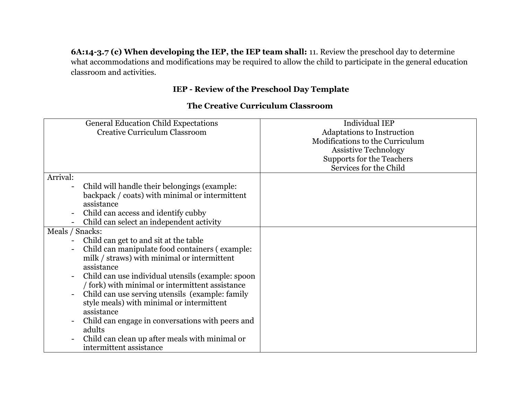**6A:14-3.7 (c) When developing the IEP, the IEP team shall:** 11. Review the preschool day to determine what accommodations and modifications may be required to allow the child to participate in the general education classroom and activities.

## **IEP - Review of the Preschool Day Template**

## **The Creative Curriculum Classroom**

| <b>General Education Child Expectations</b>       | <b>Individual IEP</b>             |
|---------------------------------------------------|-----------------------------------|
| <b>Creative Curriculum Classroom</b>              | <b>Adaptations to Instruction</b> |
|                                                   | Modifications to the Curriculum   |
|                                                   | <b>Assistive Technology</b>       |
|                                                   | Supports for the Teachers         |
|                                                   | Services for the Child            |
| Arrival:                                          |                                   |
| Child will handle their belongings (example:      |                                   |
| backpack / coats) with minimal or intermittent    |                                   |
| assistance                                        |                                   |
| Child can access and identify cubby               |                                   |
| Child can select an independent activity          |                                   |
| Meals / Snacks:                                   |                                   |
| Child can get to and sit at the table             |                                   |
| Child can manipulate food containers (example:    |                                   |
| milk / straws) with minimal or intermittent       |                                   |
| assistance                                        |                                   |
| Child can use individual utensils (example: spoon |                                   |
| / fork) with minimal or intermittent assistance   |                                   |
| Child can use serving utensils (example: family   |                                   |
| style meals) with minimal or intermittent         |                                   |
| assistance                                        |                                   |
| Child can engage in conversations with peers and  |                                   |
| adults                                            |                                   |
| Child can clean up after meals with minimal or    |                                   |
| intermittent assistance                           |                                   |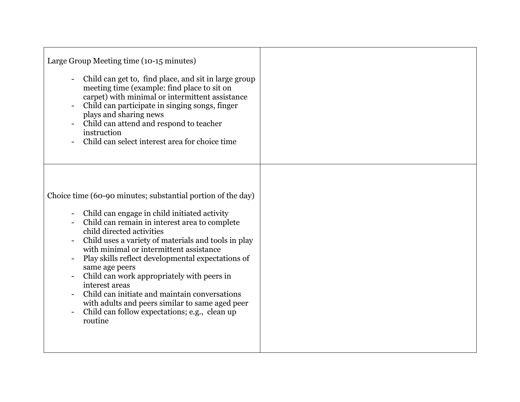| Large Group Meeting time (10-15 minutes)<br>Child can get to, find place, and sit in large group<br>meeting time (example: find place to sit on<br>carpet) with minimal or intermittent assistance<br>Child can participate in singing songs, finger<br>plays and sharing news<br>Child can attend and respond to teacher<br>instruction<br>Child can select interest area for choice time                                                                                                                                                                                                         |  |
|----------------------------------------------------------------------------------------------------------------------------------------------------------------------------------------------------------------------------------------------------------------------------------------------------------------------------------------------------------------------------------------------------------------------------------------------------------------------------------------------------------------------------------------------------------------------------------------------------|--|
| Choice time (60-90 minutes; substantial portion of the day)<br>Child can engage in child initiated activity<br>Child can remain in interest area to complete<br>child directed activities<br>Child uses a variety of materials and tools in play<br>with minimal or intermittent assistance<br>Play skills reflect developmental expectations of<br>same age peers<br>Child can work appropriately with peers in<br>interest areas<br>Child can initiate and maintain conversations<br>with adults and peers similar to same aged peer<br>Child can follow expectations; e.g., clean up<br>routine |  |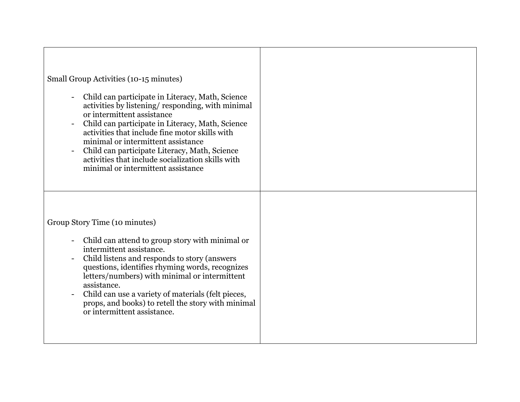| Small Group Activities (10-15 minutes)<br>Child can participate in Literacy, Math, Science<br>activities by listening/responding, with minimal<br>or intermittent assistance<br>Child can participate in Literacy, Math, Science<br>activities that include fine motor skills with<br>minimal or intermittent assistance<br>Child can participate Literacy, Math, Science<br>activities that include socialization skills with<br>minimal or intermittent assistance |  |
|----------------------------------------------------------------------------------------------------------------------------------------------------------------------------------------------------------------------------------------------------------------------------------------------------------------------------------------------------------------------------------------------------------------------------------------------------------------------|--|
| Group Story Time (10 minutes)<br>Child can attend to group story with minimal or<br>intermittent assistance.<br>Child listens and responds to story (answers<br>questions, identifies rhyming words, recognizes<br>letters/numbers) with minimal or intermittent<br>assistance.<br>Child can use a variety of materials (felt pieces,<br>props, and books) to retell the story with minimal<br>or intermittent assistance.                                           |  |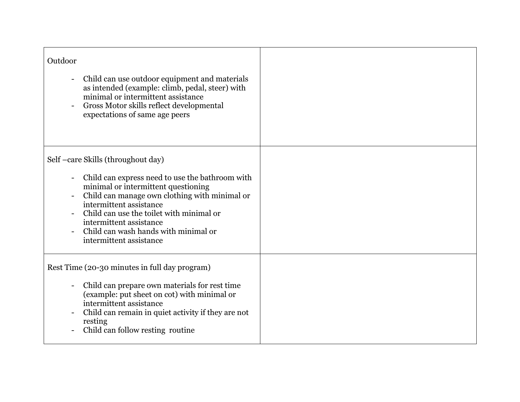| Outdoor<br>Child can use outdoor equipment and materials<br>$\blacksquare$<br>as intended (example: climb, pedal, steer) with<br>minimal or intermittent assistance<br>Gross Motor skills reflect developmental<br>expectations of same age peers                                                                                                  |  |
|----------------------------------------------------------------------------------------------------------------------------------------------------------------------------------------------------------------------------------------------------------------------------------------------------------------------------------------------------|--|
| Self -care Skills (throughout day)<br>Child can express need to use the bathroom with<br>minimal or intermittent questioning<br>Child can manage own clothing with minimal or<br>intermittent assistance<br>Child can use the toilet with minimal or<br>intermittent assistance<br>Child can wash hands with minimal or<br>intermittent assistance |  |
| Rest Time (20-30 minutes in full day program)<br>Child can prepare own materials for rest time<br>(example: put sheet on cot) with minimal or<br>intermittent assistance<br>Child can remain in quiet activity if they are not<br>resting<br>Child can follow resting routine                                                                      |  |